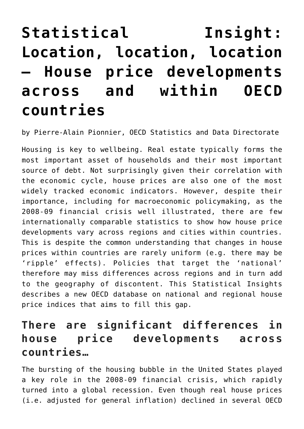# **[Statistical Insight:](https://oecdecoscope.blog/2020/07/27/statistical-insight-location-location-location-house-price-developments-across-and-within-oecd-countries/) [Location, location, location](https://oecdecoscope.blog/2020/07/27/statistical-insight-location-location-location-house-price-developments-across-and-within-oecd-countries/) [– House price developments](https://oecdecoscope.blog/2020/07/27/statistical-insight-location-location-location-house-price-developments-across-and-within-oecd-countries/) [across and within OECD](https://oecdecoscope.blog/2020/07/27/statistical-insight-location-location-location-house-price-developments-across-and-within-oecd-countries/) [countries](https://oecdecoscope.blog/2020/07/27/statistical-insight-location-location-location-house-price-developments-across-and-within-oecd-countries/)**

by Pierre-Alain Pionnier, OECD Statistics and Data Directorate

Housing is key to wellbeing. Real estate typically forms the most important asset of households and their most important source of debt. Not surprisingly given their correlation with the economic cycle, house prices are also one of the most widely tracked economic indicators. However, despite their importance, including for macroeconomic policymaking, as the 2008-09 financial crisis well illustrated, there are few internationally comparable statistics to show how house price developments vary across regions and cities within countries. This is despite the common understanding that changes in house prices within countries are rarely uniform (e.g. there may be 'ripple' effects). Policies that target the 'national' therefore may miss differences across regions and in turn add to the geography of discontent. This Statistical Insights describes a new OECD database on national and regional house price indices that aims to fill this gap.

### **There are significant differences in house price developments across countries…**

The bursting of the housing bubble in the United States played a key role in the 2008-09 financial crisis, which rapidly turned into a global recession. Even though real house prices (i.e. adjusted for general inflation) declined in several OECD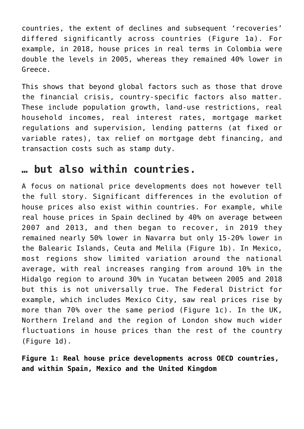countries, the extent of declines and subsequent 'recoveries' differed significantly across countries (Figure 1a). For example, in 2018, house prices in real terms in Colombia were double the levels in 2005, whereas they remained 40% lower in Greece.

This shows that beyond global factors such as those that drove the financial crisis, country-specific factors also matter. These include population growth, land-use restrictions, real household incomes, real interest rates, mortgage market regulations and supervision, lending patterns (at fixed or variable rates), tax relief on mortgage debt financing, and transaction costs such as stamp duty.

#### **… but also within countries.**

A focus on national price developments does not however tell the full story. Significant differences in the evolution of house prices also exist within countries. For example, while real house prices in Spain declined by 40% on average between 2007 and 2013, and then began to recover, in 2019 they remained nearly 50% lower in Navarra but only 15-20% lower in the Balearic Islands, Ceuta and Melila (Figure 1b). In Mexico, most regions show limited variation around the national average, with real increases ranging from around 10% in the Hidalgo region to around 30% in Yucatan between 2005 and 2018 but this is not universally true. The Federal District for example, which includes Mexico City, saw real prices rise by more than 70% over the same period (Figure 1c). In the UK, Northern Ireland and the region of London show much wider fluctuations in house prices than the rest of the country (Figure 1d).

**Figure 1: Real house price developments across OECD countries, and within Spain, Mexico and the United Kingdom**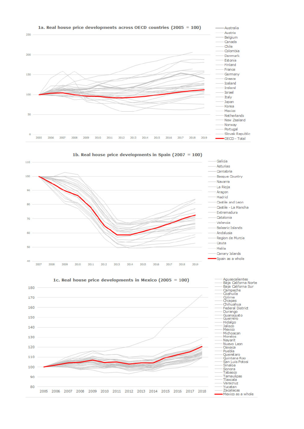

1b. Real house price developments in Spain (2007 = )



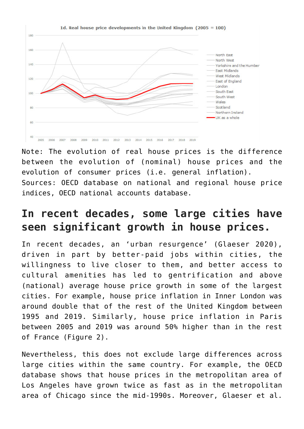

Note: The evolution of real house prices is the difference between the evolution of (nominal) house prices and the evolution of consumer prices (i.e. general inflation). Sources: OECD database on national and regional house price indices, OECD national accounts database.

## **In recent decades, some large cities have seen significant growth in house prices.**

In recent decades, an 'urban resurgence' (Glaeser 2020), driven in part by better-paid jobs within cities, the willingness to live closer to them, and better access to cultural amenities has led to gentrification and above (national) average house price growth in some of the largest cities. For example, house price inflation in Inner London was around double that of the rest of the United Kingdom between 1995 and 2019. Similarly, house price inflation in Paris between 2005 and 2019 was around 50% higher than in the rest of France (Figure 2).

Nevertheless, this does not exclude large differences across large cities within the same country. For example, the OECD database shows that house prices in the metropolitan area of Los Angeles have grown twice as fast as in the metropolitan area of Chicago since the mid-1990s. Moreover, Glaeser et al.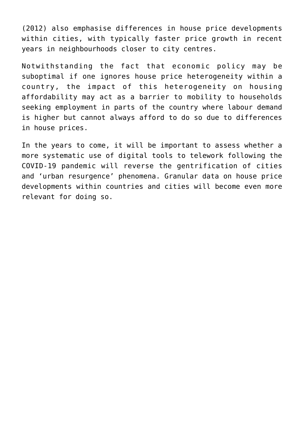(2012) also emphasise differences in house price developments within cities, with typically faster price growth in recent years in neighbourhoods closer to city centres.

Notwithstanding the fact that economic policy may be suboptimal if one ignores house price heterogeneity within a country, the impact of this heterogeneity on housing affordability may act as a barrier to mobility to households seeking employment in parts of the country where labour demand is higher but cannot always afford to do so due to differences in house prices.

In the years to come, it will be important to assess whether a more systematic use of digital tools to telework following the COVID-19 pandemic will reverse the gentrification of cities and 'urban resurgence' phenomena. Granular data on house price developments within countries and cities will become even more relevant for doing so.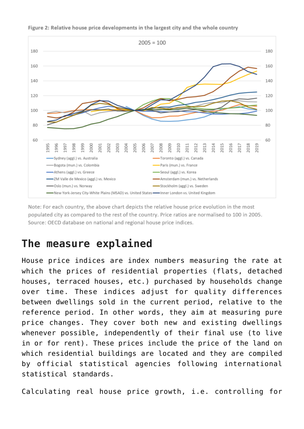

Figure 2: Relative house price developments in the largest city and the whole country

Note: For each country, the above chart depicts the relative house price evolution in the most populated city as compared to the rest of the country. Price ratios are normalised to 100 in 2005. Source: OECD database on national and regional house price indices.

#### **The measure explained**

House price indices are index numbers measuring the rate at which the prices of residential properties (flats, detached houses, terraced houses, etc.) purchased by households change over time. These indices adjust for quality differences between dwellings sold in the current period, relative to the reference period. In other words, they aim at measuring pure price changes. They cover both new and existing dwellings whenever possible, independently of their final use (to live in or for rent). These prices include the price of the land on which residential buildings are located and they are compiled by official statistical agencies following international statistical standards.

Calculating real house price growth, i.e. controlling for